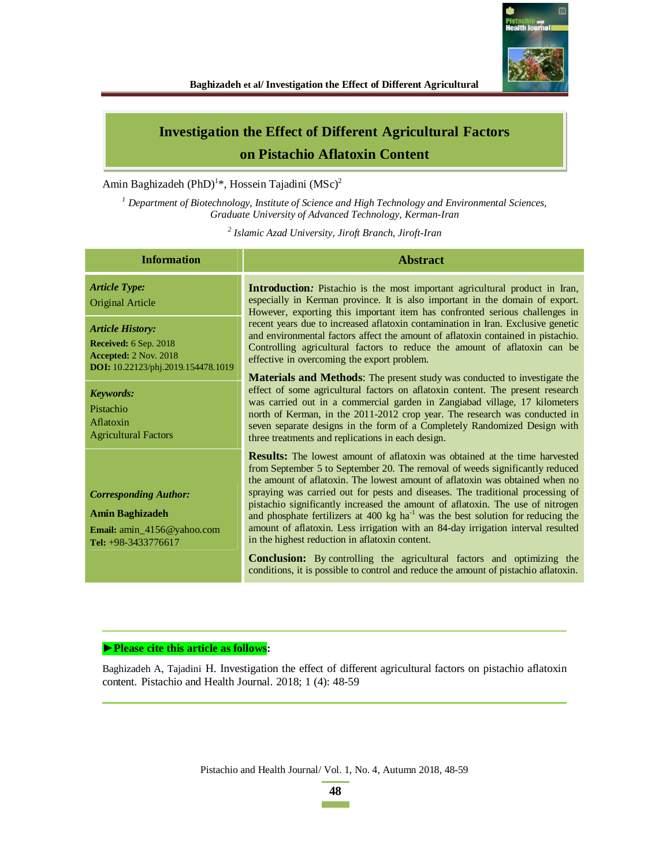

# **Investigation the Effect of Different Agricultural Factors on Pistachio Aflatoxin Content**

Amin Baghizadeh (PhD)<sup>1\*</sup>, Hossein Tajadini (MSc)<sup>2</sup>

*1 Department of Biotechnology, Institute of Science and High Technology and Environmental Sciences, Graduate University of Advanced Technology, Kerman-Iran* 

*2 Islamic Azad University, Jiroft Branch, Jiroft-Iran*

| <b>Information</b>                                                                                                            | <b>Abstract</b>                                                                                                                                                                                                                                                                                                                                                                                                                                                                                                                                                                                                                                                                                                                                                                                                                    |  |  |  |  |
|-------------------------------------------------------------------------------------------------------------------------------|------------------------------------------------------------------------------------------------------------------------------------------------------------------------------------------------------------------------------------------------------------------------------------------------------------------------------------------------------------------------------------------------------------------------------------------------------------------------------------------------------------------------------------------------------------------------------------------------------------------------------------------------------------------------------------------------------------------------------------------------------------------------------------------------------------------------------------|--|--|--|--|
| <b>Article Type:</b><br>Original Article                                                                                      | <b>Introduction:</b> Pistachio is the most important agricultural product in Iran,<br>especially in Kerman province. It is also important in the domain of export.<br>However, exporting this important item has confronted serious challenges in                                                                                                                                                                                                                                                                                                                                                                                                                                                                                                                                                                                  |  |  |  |  |
| <b>Article History:</b><br><b>Received:</b> 6 Sep. 2018<br><b>Accepted: 2 Nov. 2018</b><br>DOI: 10.22123/phj.2019.154478.1019 | recent years due to increased aflatoxin contamination in Iran. Exclusive genetic<br>and environmental factors affect the amount of aflatoxin contained in pistachio.<br>Controlling agricultural factors to reduce the amount of aflatoxin can be<br>effective in overcoming the export problem.                                                                                                                                                                                                                                                                                                                                                                                                                                                                                                                                   |  |  |  |  |
| <b>Keywords:</b><br>Pistachio<br>Aflatoxin<br><b>Agricultural Factors</b>                                                     | Materials and Methods: The present study was conducted to investigate the<br>effect of some agricultural factors on aflatoxin content. The present research<br>was carried out in a commercial garden in Zangiabad village, 17 kilometers<br>north of Kerman, in the 2011-2012 crop year. The research was conducted in<br>seven separate designs in the form of a Completely Randomized Design with<br>three treatments and replications in each design.                                                                                                                                                                                                                                                                                                                                                                          |  |  |  |  |
| <b>Corresponding Author:</b><br>Amin Baghizadeh<br>Email: amin_4156@yahoo.com<br>Tel: +98-3433776617                          | <b>Results:</b> The lowest amount of aflatoxin was obtained at the time harvested<br>from September 5 to September 20. The removal of weeds significantly reduced<br>the amount of aflatoxin. The lowest amount of aflatoxin was obtained when no<br>spraying was carried out for pests and diseases. The traditional processing of<br>pistachio significantly increased the amount of aflatoxin. The use of nitrogen<br>and phosphate fertilizers at 400 kg ha <sup>-1</sup> was the best solution for reducing the<br>amount of aflatoxin. Less irrigation with an 84-day irrigation interval resulted<br>in the highest reduction in aflatoxin content.<br><b>Conclusion:</b> By controlling the agricultural factors and optimizing the<br>conditions, it is possible to control and reduce the amount of pistachio aflatoxin. |  |  |  |  |

#### ▶ Please cite this article as follows:

Baghizadeh A, Tajadini H. Investigation the effect of different agricultural factors on pistachio aflatoxin content. Pistachio and Health Journal. 2018; 1 (4): 48-59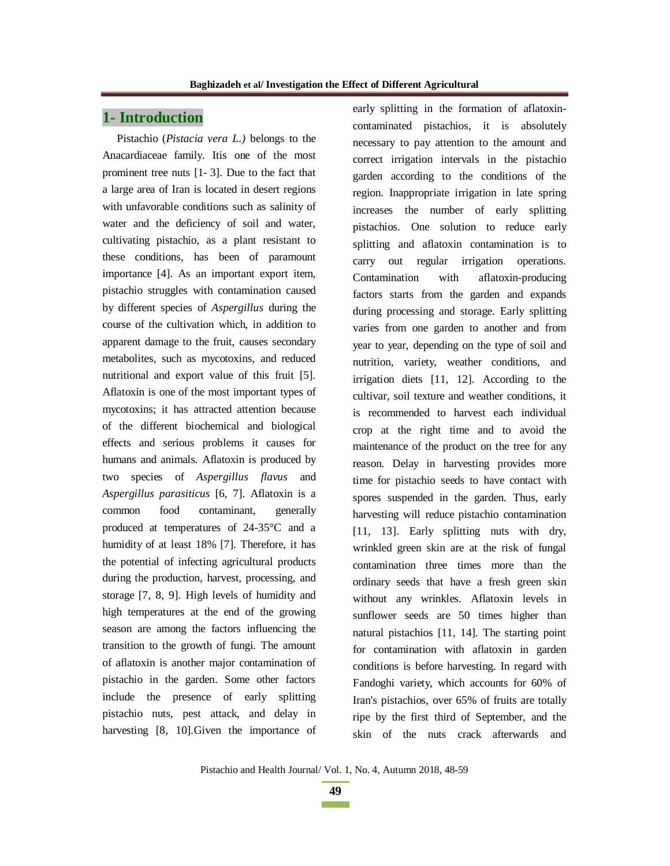### **1- Introduction**

Pistachio (*Pistacia vera L.)* belongs to the Anacardiaceae family. Itis one of the most prominent tree nuts [1- 3]. Due to the fact that a large area of Iran is located in desert regions with unfavorable conditions such as salinity of water and the deficiency of soil and water, cultivating pistachio, as a plant resistant to these conditions, has been of paramount importance [4]. As an important export item, pistachio struggles with contamination caused by different species of *Aspergillus* during the course of the cultivation which, in addition to apparent damage to the fruit, causes secondary metabolites, such as mycotoxins, and reduced nutritional and export value of this fruit [5]. Aflatoxin is one of the most important types of mycotoxins; it has attracted attention because of the different biochemical and biological effects and serious problems it causes for humans and animals. Aflatoxin is produced by two species of *Aspergillus flavus* and *Aspergillus parasiticus* [6, 7]. Aflatoxin is a common food contaminant, generally produced at temperatures of 24-35°C and a humidity of at least 18% [7]. Therefore, it has the potential of infecting agricultural products during the production, harvest, processing, and storage [7, 8, 9]. High levels of humidity and high temperatures at the end of the growing season are among the factors influencing the transition to the growth of fungi. The amount of aflatoxin is another major contamination of pistachio in the garden. Some other factors include the presence of early splitting pistachio nuts, pest attack, and delay in harvesting [8, 10]. Given the importance of

early splitting in the formation of aflatoxincontaminated pistachios, it is absolutely necessary to pay attention to the amount and correct irrigation intervals in the pistachio garden according to the conditions of the region. Inappropriate irrigation in late spring increases the number of early splitting pistachios. One solution to reduce early splitting and aflatoxin contamination is to carry out regular irrigation operations. Contamination with aflatoxin-producing factors starts from the garden and expands during processing and storage. Early splitting varies from one garden to another and from year to year, depending on the type of soil and nutrition, variety, weather conditions, and irrigation diets [11, 12]. According to the cultivar, soil texture and weather conditions, it is recommended to harvest each individual crop at the right time and to avoid the maintenance of the product on the tree for any reason. Delay in harvesting provides more time for pistachio seeds to have contact with spores suspended in the garden. Thus, early harvesting will reduce pistachio contamination [11, 13]. Early splitting nuts with dry, wrinkled green skin are at the risk of fungal contamination three times more than the ordinary seeds that have a fresh green skin without any wrinkles. Aflatoxin levels in sunflower seeds are 50 times higher than natural pistachios [11, 14]. The starting point for contamination with aflatoxin in garden conditions is before harvesting. In regard with Fandoghi variety, which accounts for 60% of Iran's pistachios, over 65% of fruits are totally ripe by the first third of September, and the skin of the nuts crack afterwards and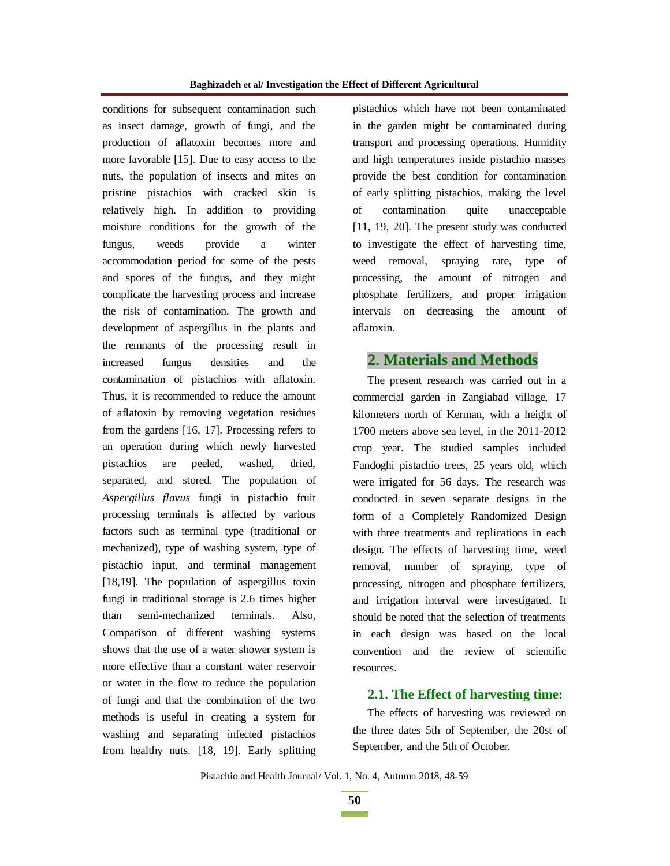conditions for subsequent contamination such as insect damage, growth of fungi, and the production of aflatoxin becomes more and more favorable [15]. Due to easy access to the nuts, the population of insects and mites on pristine pistachios with cracked skin is relatively high. In addition to providing moisture conditions for the growth of the fungus, weeds provide a winter accommodation period for some of the pests and spores of the fungus, and they might complicate the harvesting process and increase the risk of contamination. The growth and development of aspergillus in the plants and the remnants of the processing result in increased fungus densities and the contamination of pistachios with aflatoxin. Thus, it is recommended to reduce the amount of aflatoxin by removing vegetation residues from the gardens [16, 17]. Processing refers to an operation during which newly harvested pistachios are peeled, washed, dried, separated, and stored. The population of *Aspergillus flavus* fungi in pistachio fruit processing terminals is affected by various factors such as terminal type (traditional or mechanized), type of washing system, type of pistachio input, and terminal management [18,19]. The population of aspergillus toxin fungi in traditional storage is 2.6 times higher than semi-mechanized terminals. Also, Comparison of different washing systems shows that the use of a water shower system is more effective than a constant water reservoir or water in the flow to reduce the population of fungi and that the combination of the two methods is useful in creating a system for washing and separating infected pistachios from healthy nuts. [18, 19]. Early splitting

pistachios which have not been contaminated in the garden might be contaminated during transport and processing operations. Humidity and high temperatures inside pistachio masses provide the best condition for contamination of early splitting pistachios, making the level of contamination quite unacceptable [11, 19, 20]. The present study was conducted to investigate the effect of harvesting time, weed removal, spraying rate, type of processing, the amount of nitrogen and phosphate fertilizers, and proper irrigation intervals on decreasing the amount of aflatoxin.

### **2. Materials and Methods**

The present research was carried out in a commercial garden in Zangiabad village, 17 kilometers north of Kerman, with a height of 1700 meters above sea level, in the 2011-2012 crop year. The studied samples included Fandoghi pistachio trees, 25 years old, which were irrigated for 56 days. The research was conducted in seven separate designs in the form of a Completely Randomized Design with three treatments and replications in each design. The effects of harvesting time, weed removal, number of spraying, type of processing, nitrogen and phosphate fertilizers, and irrigation interval were investigated. It should be noted that the selection of treatments in each design was based on the local convention and the review of scientific resources.

### **2.1. The Effect of harvesting time:**

The effects of harvesting was reviewed on the three dates 5th of September, the 20st of September, and the 5th of October.

Pistachio and Health Journal/ Vol. 1, No. 4, Autumn 2018, 48-59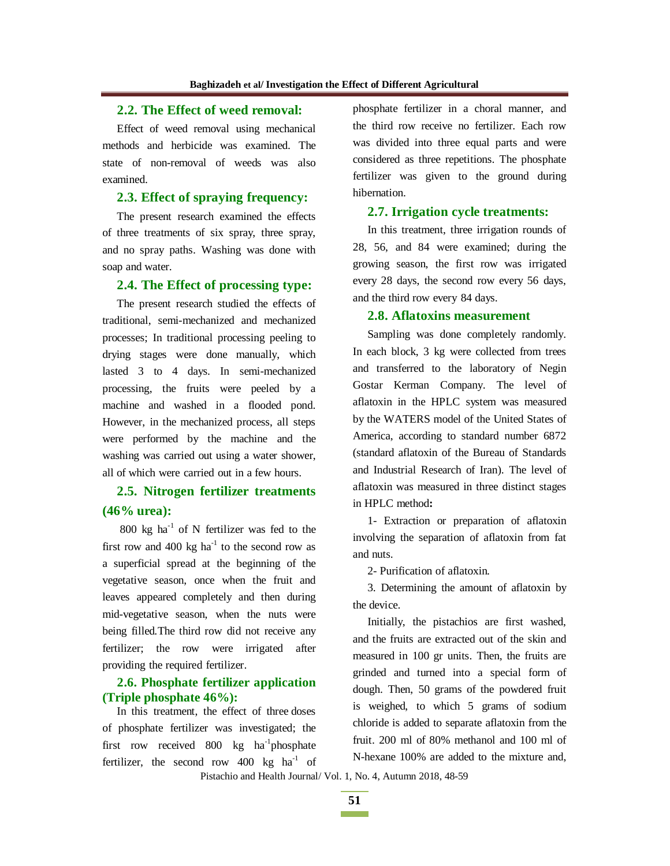### **2.2. The Effect of weed removal:**

Effect of weed removal using mechanical methods and herbicide was examined. The state of non-removal of weeds was also examined.

### **2.3. Effect of spraying frequency:**

The present research examined the effects of three treatments of six spray, three spray, and no spray paths. Washing was done with soap and water.

#### **2.4. The Effect of processing type:**

The present research studied the effects of traditional, semi-mechanized and mechanized processes; In traditional processing peeling to drying stages were done manually, which lasted 3 to 4 days. In semi-mechanized processing, the fruits were peeled by a machine and washed in a flooded pond. However, in the mechanized process, all steps were performed by the machine and the washing was carried out using a water shower, all of which were carried out in a few hours.

## **2.5. Nitrogen fertilizer treatments (46% urea):**

800 kg ha $^{-1}$  of N fertilizer was fed to the first row and 400 kg  $ha^{-1}$  to the second row as a superficial spread at the beginning of the vegetative season, once when the fruit and leaves appeared completely and then during mid-vegetative season, when the nuts were being filled.The third row did not receive any fertilizer; the row were irrigated after providing the required fertilizer.

### **2.6. Phosphate fertilizer application (Triple phosphate 46%):**

In this treatment, the effect of three doses of phosphate fertilizer was investigated; the first row received 800 kg ha<sup>-1</sup>phosphate fertilizer, the second row  $400 \text{ kg}$  ha<sup>-1</sup> of phosphate fertilizer in a choral manner, and the third row receive no fertilizer. Each row was divided into three equal parts and were considered as three repetitions. The phosphate fertilizer was given to the ground during hibernation.

#### **2.7. Irrigation cycle treatments:**

In this treatment, three irrigation rounds of 28, 56, and 84 were examined; during the growing season, the first row was irrigated every 28 days, the second row every 56 days, and the third row every 84 days.

#### **2.8. Aflatoxins measurement**

Sampling was done completely randomly. In each block, 3 kg were collected from trees and transferred to the laboratory of Negin Gostar Kerman Company. The level of aflatoxin in the HPLC system was measured by the WATERS model of the United States of America, according to standard number 6872 (standard aflatoxin of the Bureau of Standards and Industrial Research of Iran). The level of aflatoxin was measured in three distinct stages in HPLC method**:**

1- Extraction or preparation of aflatoxin involving the separation of aflatoxin from fat and nuts.

2- Purification of aflatoxin.

3. Determining the amount of aflatoxin by the device.

Initially, the pistachios are first washed, and the fruits are extracted out of the skin and measured in 100 gr units. Then, the fruits are grinded and turned into a special form of dough. Then, 50 grams of the powdered fruit is weighed, to which 5 grams of sodium chloride is added to separate aflatoxin from the fruit. 200 ml of 80% methanol and 100 ml of N-hexane 100% are added to the mixture and,

Pistachio and Health Journal/ Vol. 1, No. 4, Autumn 2018, 48-59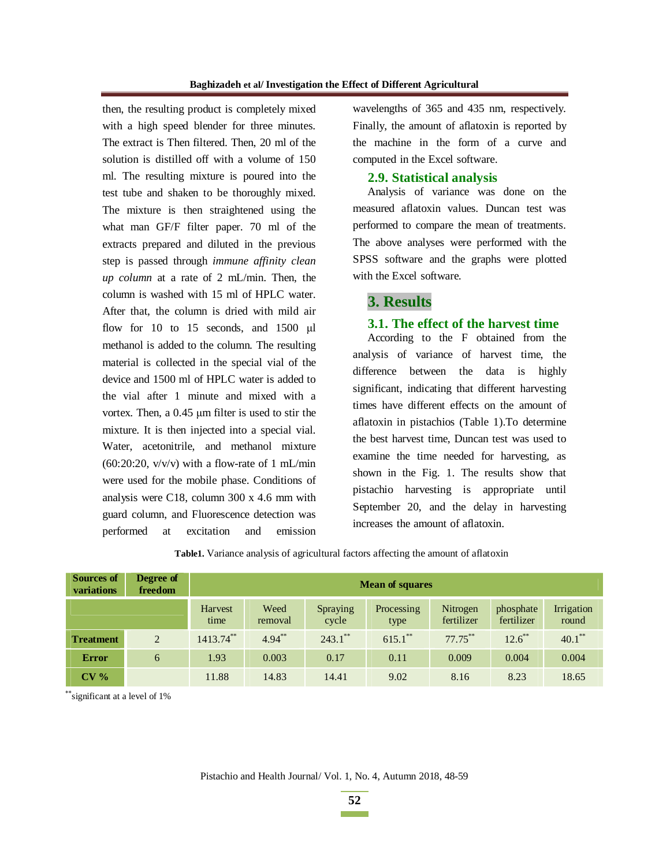then, the resulting product is completely mixed with a high speed blender for three minutes. The extract is Then filtered. Then, 20 ml of the solution is distilled off with a volume of 150 ml. The resulting mixture is poured into the test tube and shaken to be thoroughly mixed. The mixture is then straightened using the what man GF/F filter paper. 70 ml of the extracts prepared and diluted in the previous step is passed through *immune affinity clean up column* at a rate of 2 mL/min. Then, the column is washed with 15 ml of HPLC water. After that, the column is dried with mild air flow for 10 to 15 seconds, and  $1500 \mu l$ methanol is added to the column. The resulting material is collected in the special vial of the device and 1500 ml of HPLC water is added to the vial after 1 minute and mixed with a vortex. Then, a  $0.45 \mu m$  filter is used to stir the mixture. It is then injected into a special vial. Water, acetonitrile, and methanol mixture  $(60:20:20, v/v/v)$  with a flow-rate of 1 mL/min were used for the mobile phase. Conditions of analysis were C18, column 300 x 4.6 mm with guard column, and Fluorescence detection was performed at excitation and emission

wavelengths of 365 and 435 nm, respectively. Finally, the amount of aflatoxin is reported by the machine in the form of a curve and computed in the Excel software.

#### **2.9. Statistical analysis**

Analysis of variance was done on the measured aflatoxin values. Duncan test was performed to compare the mean of treatments. The above analyses were performed with the SPSS software and the graphs were plotted with the Excel software.

## **3. Results**

#### **3.1. The effect of the harvest time**

According to the F obtained from the analysis of variance of harvest time, the difference between the data is highly significant, indicating that different harvesting times have different effects on the amount of aflatoxin in pistachios (Table 1).To determine the best harvest time, Duncan test was used to examine the time needed for harvesting, as shown in the Fig. 1. The results show that pistachio harvesting is appropriate until September 20, and the delay in harvesting increases the amount of aflatoxin.

| <b>Sources of</b><br>variations | Degree of<br>freedom | <b>Mean of squares</b> |                 |                   |                    |                        |                         |                     |  |
|---------------------------------|----------------------|------------------------|-----------------|-------------------|--------------------|------------------------|-------------------------|---------------------|--|
|                                 |                      | Harvest<br>time        | Weed<br>removal | Spraying<br>cycle | Processing<br>type | Nitrogen<br>fertilizer | phosphate<br>fertilizer | Irrigation<br>round |  |
| <b>Treatment</b>                | $\overline{2}$       | $1413.74$ **           | $4.94***$       | $243.1$ **        | $615.1$ **         | $77.75***$             | $12.6$ **               | $40.1***$           |  |
| <b>Error</b>                    | 6                    | 1.93                   | 0.003           | 0.17              | 0.11               | 0.009                  | 0.004                   | 0.004               |  |
| CV <sub>0</sub>                 |                      | 11.88                  | 14.83           | 14.41             | 9.02               | 8.16                   | 8.23                    | 18.65               |  |

**Table1.** Variance analysis of agricultural factors affecting the amount of aflatoxin

 $\tilde{ }$  significant at a level of 1%

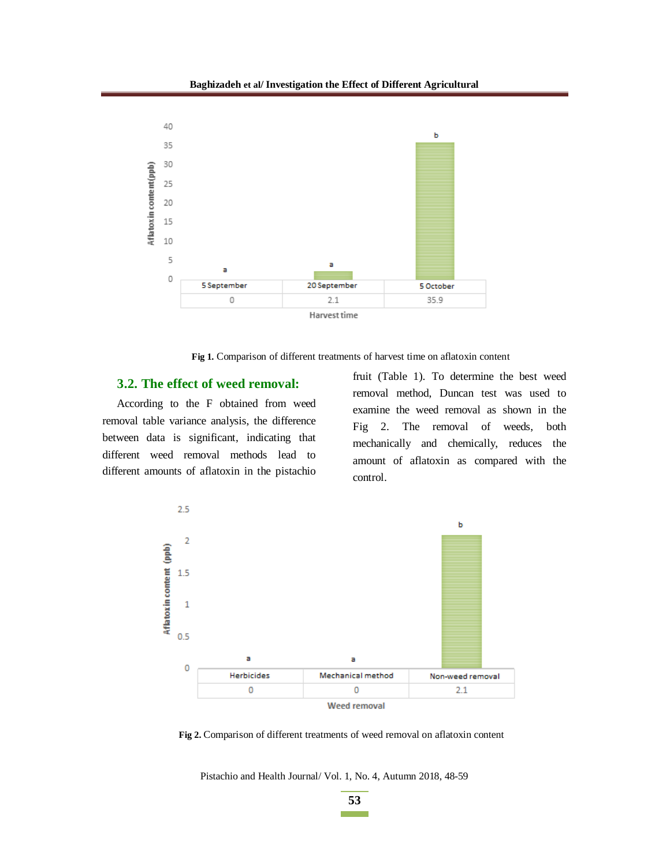

**Fig 1.** Comparison of different treatments of harvest time on aflatoxin content

#### **3.2. The effect of weed removal:**

According to the F obtained from weed removal table variance analysis, the difference between data is significant, indicating that different weed removal methods lead to different amounts of aflatoxin in the pistachio fruit (Table 1). To determine the best weed removal method, Duncan test was used to examine the weed removal as shown in the Fig 2. The removal of weeds, both mechanically and chemically, reduces the amount of aflatoxin as compared with the control.



**Fig 2.** Comparison of different treatments of weed removal on aflatoxin content

Pistachio and Health Journal/ Vol. 1, No. 4, Autumn 2018, 48-59

**53 Contract Contract**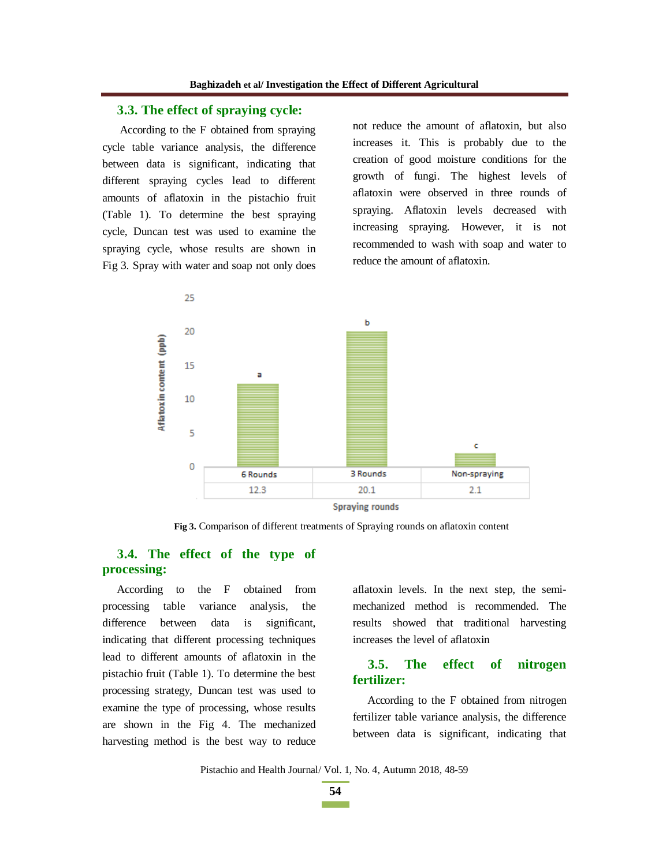### **3.3. The effect of spraying cycle:**

 According to the F obtained from spraying cycle table variance analysis, the difference between data is significant, indicating that different spraying cycles lead to different amounts of aflatoxin in the pistachio fruit (Table 1). To determine the best spraying cycle, Duncan test was used to examine the spraying cycle, whose results are shown in Fig 3. Spray with water and soap not only does not reduce the amount of aflatoxin, but also increases it. This is probably due to the creation of good moisture conditions for the growth of fungi. The highest levels of aflatoxin were observed in three rounds of spraying. Aflatoxin levels decreased with increasing spraying. However, it is not recommended to wash with soap and water to reduce the amount of aflatoxin.



**Fig 3.** Comparison of different treatments of Spraying rounds on aflatoxin content

### **3.4. The effect of the type of processing:**

According to the F obtained from processing table variance analysis, the difference between data is significant, indicating that different processing techniques lead to different amounts of aflatoxin in the pistachio fruit (Table 1). To determine the best processing strategy, Duncan test was used to examine the type of processing, whose results are shown in the Fig 4. The mechanized harvesting method is the best way to reduce aflatoxin levels. In the next step, the semimechanized method is recommended. The results showed that traditional harvesting increases the level of aflatoxin

### **3.5. The effect of nitrogen fertilizer:**

According to the F obtained from nitrogen fertilizer table variance analysis, the difference between data is significant, indicating that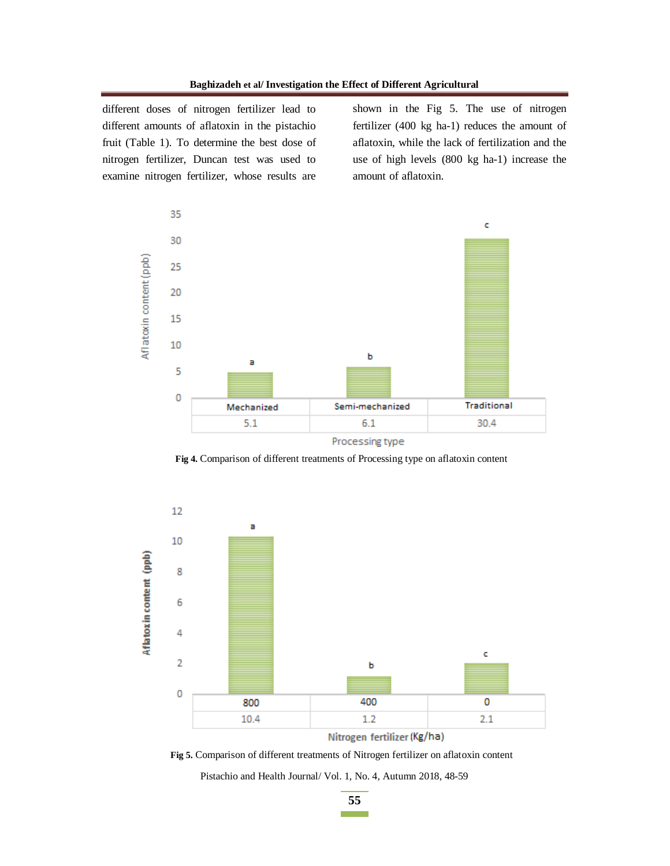different doses of nitrogen fertilizer lead to different amounts of aflatoxin in the pistachio fruit (Table 1). To determine the best dose of nitrogen fertilizer, Duncan test was used to examine nitrogen fertilizer, whose results are

shown in the Fig 5. The use of nitrogen fertilizer (400 kg ha-1) reduces the amount of aflatoxin, while the lack of fertilization and the use of high levels (800 kg ha-1) increase the amount of aflatoxin.



**Fig 4.** Comparison of different treatments of Processing type on aflatoxin content



Nitrogen fertilizer (Kg/ha)

Pistachio and Health Journal/ Vol. 1, No. 4, Autumn 2018, 48-59 **Fig 5.** Comparison of different treatments of Nitrogen fertilizer on aflatoxin content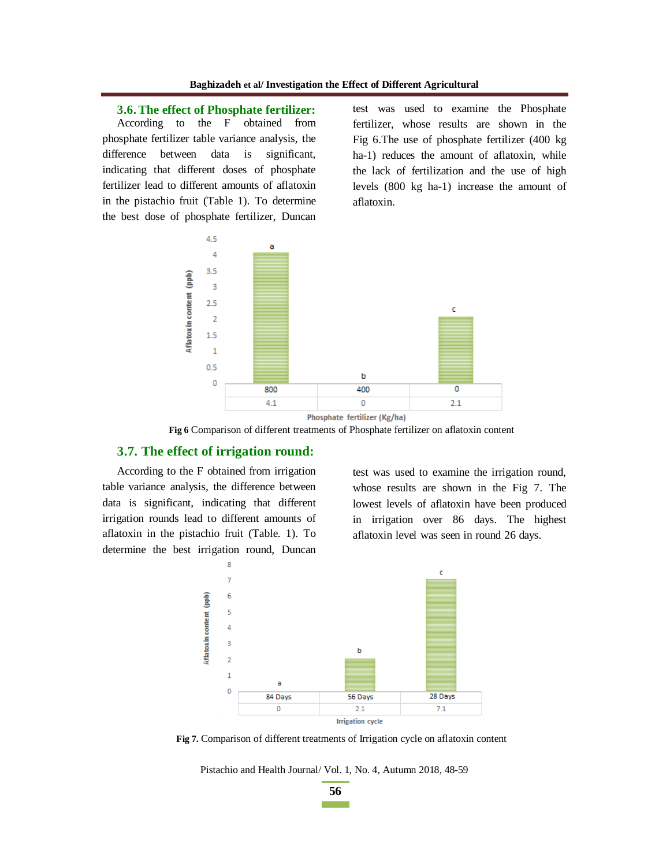**3.6. The effect of Phosphate fertilizer:** 

According to the F obtained from phosphate fertilizer table variance analysis, the difference between data is significant, indicating that different doses of phosphate fertilizer lead to different amounts of aflatoxin in the pistachio fruit (Table 1). To determine the best dose of phosphate fertilizer, Duncan test was used to examine the Phosphate fertilizer, whose results are shown in the Fig 6.The use of phosphate fertilizer (400 kg ha-1) reduces the amount of aflatoxin, while the lack of fertilization and the use of high levels (800 kg ha-1) increase the amount of aflatoxin.



**Fig 6** Comparison of different treatments of Phosphate fertilizer on aflatoxin content

### **3.7. The effect of irrigation round:**

According to the F obtained from irrigation table variance analysis, the difference between data is significant, indicating that different irrigation rounds lead to different amounts of aflatoxin in the pistachio fruit (Table. 1). To determine the best irrigation round, Duncan

test was used to examine the irrigation round, whose results are shown in the Fig 7. The lowest levels of aflatoxin have been produced in irrigation over 86 days. The highest aflatoxin level was seen in round 26 days.



**Fig 7.** Comparison of different treatments of Irrigation cycle on aflatoxin content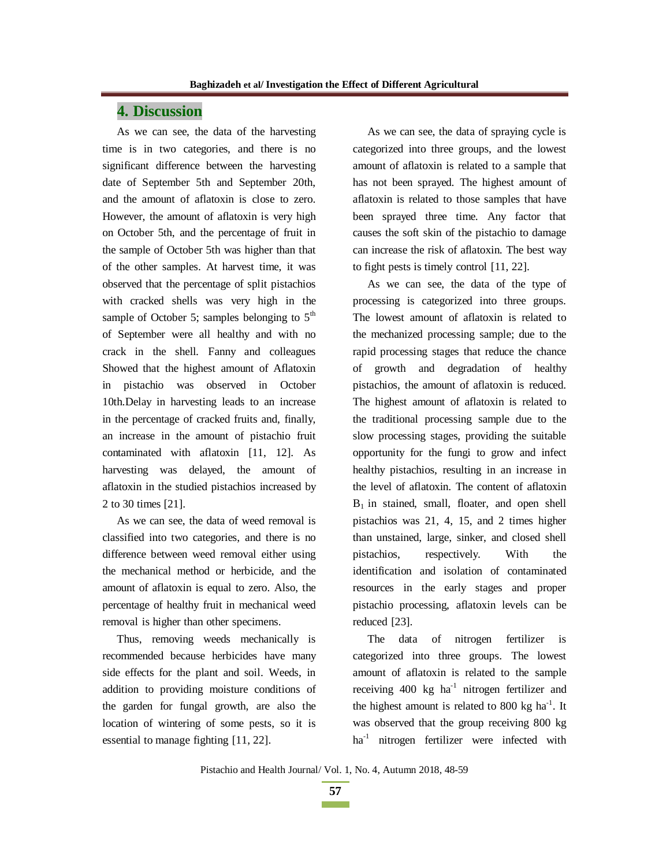### **4. Discussion**

As we can see, the data of the harvesting time is in two categories, and there is no significant difference between the harvesting date of September 5th and September 20th, and the amount of aflatoxin is close to zero. However, the amount of aflatoxin is very high on October 5th, and the percentage of fruit in the sample of October 5th was higher than that of the other samples. At harvest time, it was observed that the percentage of split pistachios with cracked shells was very high in the sample of October 5; samples belonging to  $5<sup>th</sup>$ of September were all healthy and with no crack in the shell. Fanny and colleagues Showed that the highest amount of Aflatoxin in pistachio was observed in October 10th.Delay in harvesting leads to an increase in the percentage of cracked fruits and, finally, an increase in the amount of pistachio fruit contaminated with aflatoxin [11, 12]. As harvesting was delayed, the amount of aflatoxin in the studied pistachios increased by 2 to 30 times [21].

As we can see, the data of weed removal is classified into two categories, and there is no difference between weed removal either using the mechanical method or herbicide, and the amount of aflatoxin is equal to zero. Also, the percentage of healthy fruit in mechanical weed removal is higher than other specimens.

Thus, removing weeds mechanically is recommended because herbicides have many side effects for the plant and soil. Weeds, in addition to providing moisture conditions of the garden for fungal growth, are also the location of wintering of some pests, so it is essential to manage fighting [11, 22].

As we can see, the data of spraying cycle is categorized into three groups, and the lowest amount of aflatoxin is related to a sample that has not been sprayed. The highest amount of aflatoxin is related to those samples that have been sprayed three time. Any factor that causes the soft skin of the pistachio to damage can increase the risk of aflatoxin. The best way to fight pests is timely control [11, 22].

As we can see, the data of the type of processing is categorized into three groups. The lowest amount of aflatoxin is related to the mechanized processing sample; due to the rapid processing stages that reduce the chance of growth and degradation of healthy pistachios, the amount of aflatoxin is reduced. The highest amount of aflatoxin is related to the traditional processing sample due to the slow processing stages, providing the suitable opportunity for the fungi to grow and infect healthy pistachios, resulting in an increase in the level of aflatoxin. The content of aflatoxin  $B_1$  in stained, small, floater, and open shell pistachios was 21, 4, 15, and 2 times higher than unstained, large, sinker, and closed shell pistachios, respectively. With the identification and isolation of contaminated resources in the early stages and proper pistachio processing, aflatoxin levels can be reduced [23].

The data of nitrogen fertilizer is categorized into three groups. The lowest amount of aflatoxin is related to the sample receiving  $400 \text{ kg}$  ha<sup>-1</sup> nitrogen fertilizer and the highest amount is related to 800 kg  $ha^{-1}$ . It was observed that the group receiving 800 kg ha<sup>-1</sup> nitrogen fertilizer were infected with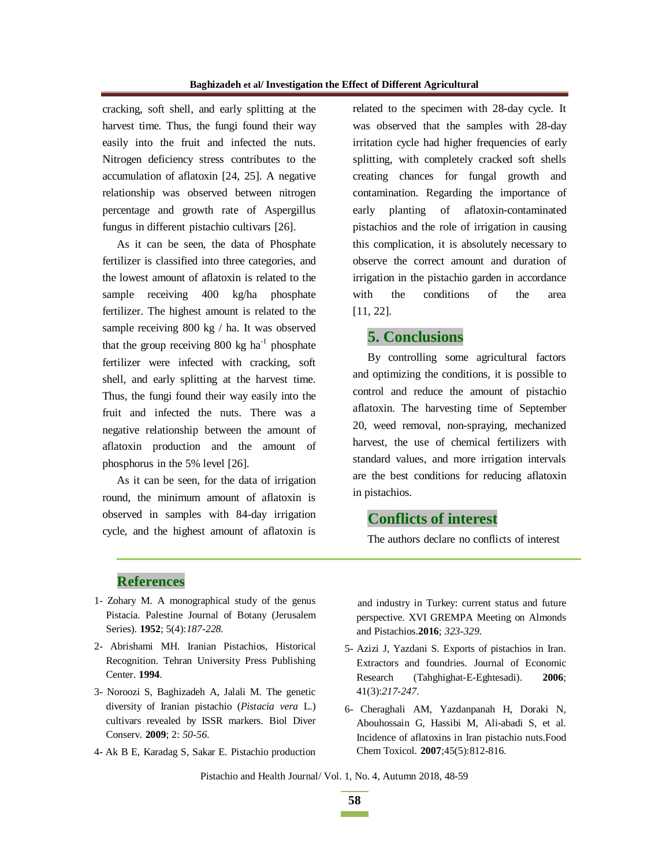cracking, soft shell, and early splitting at the harvest time. Thus, the fungi found their way easily into the fruit and infected the nuts. Nitrogen deficiency stress contributes to the accumulation of aflatoxin [24, 25]. A negative relationship was observed between nitrogen percentage and growth rate of Aspergillus fungus in different pistachio cultivars [26].

As it can be seen, the data of Phosphate fertilizer is classified into three categories, and the lowest amount of aflatoxin is related to the sample receiving 400 kg/ha phosphate fertilizer. The highest amount is related to the sample receiving 800 kg / ha. It was observed that the group receiving  $800 \text{ kg}$  ha<sup>-1</sup> phosphate fertilizer were infected with cracking, soft shell, and early splitting at the harvest time. Thus, the fungi found their way easily into the fruit and infected the nuts. There was a negative relationship between the amount of aflatoxin production and the amount of phosphorus in the 5% level [26].

As it can be seen, for the data of irrigation round, the minimum amount of aflatoxin is observed in samples with 84-day irrigation cycle, and the highest amount of aflatoxin is related to the specimen with 28-day cycle. It was observed that the samples with 28-day irritation cycle had higher frequencies of early splitting, with completely cracked soft shells creating chances for fungal growth and contamination. Regarding the importance of early planting of aflatoxin-contaminated pistachios and the role of irrigation in causing this complication, it is absolutely necessary to observe the correct amount and duration of irrigation in the pistachio garden in accordance with the conditions of the area [11, 22].

### **5. Conclusions**

By controlling some agricultural factors and optimizing the conditions, it is possible to control and reduce the amount of pistachio aflatoxin. The harvesting time of September 20, weed removal, non-spraying, mechanized harvest, the use of chemical fertilizers with standard values, and more irrigation intervals are the best conditions for reducing aflatoxin in pistachios.

# **Conflicts of interest**

The authors declare no conflicts of interest

### **References**

- 1- Zohary M. A monographical study of the genus Pistacia. Palestine Journal of Botany (Jerusalem Series). **1952**; 5(4):*187-228.*
- 2- Abrishami MH. Iranian Pistachios*,* Historical Recognition. Tehran University Press Publishing Center. **1994**.
- 3- Noroozi S, Baghizadeh A, Jalali M. The genetic diversity of Iranian pistachio (*Pistacia vera* L.) cultivars revealed by ISSR markers. Biol Diver Conserv. **2009**; 2: *50-56*.
- 4- Ak B E, Karadag S, Sakar E. Pistachio production

and industry in Turkey: current status and future perspective. XVI GREMPA Meeting on Almonds and Pistachios.**2016**; *323-329*.

- 5- Azizi J, Yazdani S. Exports of pistachios in Iran. Extractors and foundries. Journal of Economic Research (Tahghighat-E-Eghtesadi). **2006**; 41(3):*217-247*.
- 6- Cheraghali AM, Yazdanpanah H, Doraki N, Abouhossain G, Hassibi M, Ali-abadi S, et al. Incidence of aflatoxins in Iran pistachio nuts.Food Chem Toxicol. **2007**;45(5):812-816.

Pistachio and Health Journal/ Vol. 1, No. 4, Autumn 2018, 48-59